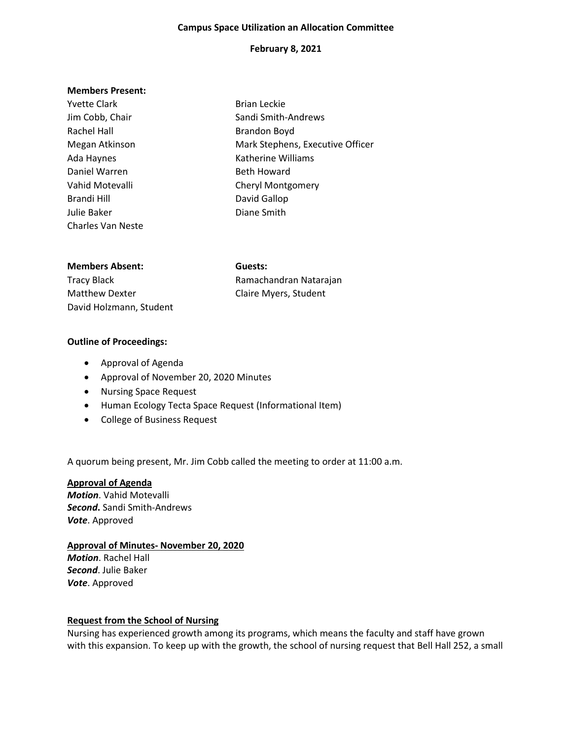#### **Campus Space Utilization an Allocation Committee**

## **February 8, 2021**

#### **Members Present:**

| <b>Yvette Clark</b>      | <b>Brian Leckie</b>              |
|--------------------------|----------------------------------|
| Jim Cobb, Chair          | Sandi Smith-Andrews              |
| Rachel Hall              | <b>Brandon Boyd</b>              |
| Megan Atkinson           | Mark Stephens, Executive Officer |
| Ada Haynes               | Katherine Williams               |
| Daniel Warren            | <b>Beth Howard</b>               |
| Vahid Motevalli          | <b>Cheryl Montgomery</b>         |
| Brandi Hill              | David Gallop                     |
| Julie Baker              | Diane Smith                      |
| <b>Charles Van Neste</b> |                                  |
|                          |                                  |
|                          |                                  |

| <b>Members Absent:</b>  | Guests:                |
|-------------------------|------------------------|
| Tracy Black             | Ramachandran Natarajan |
| <b>Matthew Dexter</b>   | Claire Myers, Student  |
| David Holzmann, Student |                        |

# **Outline of Proceedings:**

- Approval of Agenda
- Approval of November 20, 2020 Minutes
- Nursing Space Request
- Human Ecology Tecta Space Request (Informational Item)
- College of Business Request

A quorum being present, Mr. Jim Cobb called the meeting to order at 11:00 a.m.

#### **Approval of Agenda**

*Motion*. Vahid Motevalli *Second***.** Sandi Smith-Andrews *Vote*. Approved

## **Approval of Minutes- November 20, 2020**

*Motion*. Rachel Hall *Second*. Julie Baker *Vote*. Approved

## **Request from the School of Nursing**

Nursing has experienced growth among its programs, which means the faculty and staff have grown with this expansion. To keep up with the growth, the school of nursing request that Bell Hall 252, a small